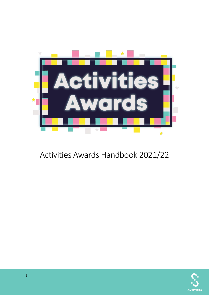

# Activities Awards Handbook 2021/22

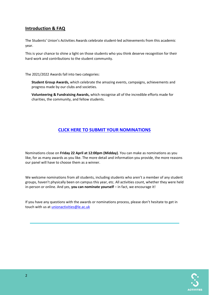# **Introduction & FAQ**

The Students' Union's Activities Awards celebrate student-led achievements from this academic year.

This is your chance to shine a light on those students who you think deserve recognition for their hard work and contributions to the student community.

The 2021/2022 Awards fall into two categories:

**Student Group Awards,** which celebrate the amazing events, campaigns, achievements and progress made by our clubs and societies.

**Volunteering & Fundraising Awards,** which recognise all of the incredible efforts made for charities, the community, and fellow students.

# **[CLICK HERE TO SUBMIT YOUR NOMINATIONS](https://www.leicesterunion.com/surveys/2122activitiesawards/)**

Nominations close on **Friday 22 April at 12:00pm (Midday)**. You can make as nominations as you like, for as many awards as you like. The more detail and information you provide, the more reasons our panel will have to choose them as a winner.

We welcome nominations from all students, including students who aren't a member of any student groups, haven't physically been on campus this year, etc. All activities count, whether they were held in-person or online. And yes, **you can nominate yourself** – in fact, we encourage it!

If you have any questions with the awards or nominations process, please don't hesitate to get in touch with us a[t unionactivities@le.ac.uk](mailto:unionactivities@le.ac.uk) 

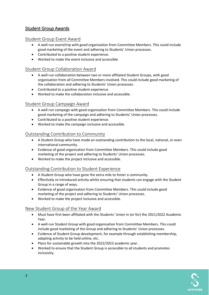# Student Group Awards

#### Student Group Event Award

- A well-run event/trip with good organisation from Committee Members. This could include good marketing of the event and adhering to Students' Union processes.
- Contributed to a positive student experience.
- Worked to make the event inclusive and accessible.

#### Student Group Collaboration Award

- A well-run collaboration between two or more affiliated Student Groups, with good organisation from all Committee Members involved. This could include good marketing of the collaboration and adhering to Students' Union processes.
- Contributed to a positive student experience.
- Worked to make the collaboration inclusive and accessible.

#### [Student Group Campaign Award](javascript:WebForm_DoPostBackWithOptions(new%20WebForm_PostBackOptions(%22ctl00$Main$gvSections$ctl11$lbEdit%22,%20%22%22,%20true,%20%22%22,%20%22%22,%20false,%20true)))

- A well-run campaign with good organisation from Committee Members. This could include good marketing of the campaign and adhering to Students' Union processes.
- Contributed to a positive student experience.
- Worked to make the campaign inclusive and accessible.

## Outstanding Contribution to Community

- A Student Group who have made an outstanding contribution to the local, national, or even international community.
- Evidence of good organisation from Committee Members. This could include good marketing of the project and adhering to Students' Union processes.
- Worked to make the project inclusive and accessible.

#### Outstanding Contribution to Student Experience

- A Student Group who have gone the extra mile to foster a community.
- Effectively re-introduced activity whilst ensuring that students can engage with the Student Group in a range of ways.
- Evidence of good organisation from Committee Members. This could include good marketing of the project and adhering to Students' Union processes.
- Worked to make the project inclusive and accessible.

## New Student Group of the Year Award

- Must have first been affiliated with the Students' Union in (or for) the 2021/2022 Academic Year.
- A well-run Student Group with good organisation from Committee Members. This could include good marketing of the Group and adhering to Students' Union processes.
- Evidence of Student Group development, for example through establishing membership, adapting activity to be held online, etc.
- Plans for sustainable growth into the 2022/2023 academic year.
- Worked to ensure that the Student Group is accessible to all students and promotes inclusivity.

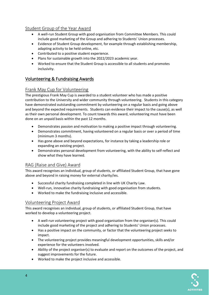# Student Group of the Year Award

- A well-run Student Group with good organisation from Committee Members. This could include good marketing of the Group and adhering to Students' Union processes.
- Evidence of Student Group development, for example through establishing membership, adapting activity to be held online, etc.
- Contributed to a positive student experience.
- Plans for sustainable growth into the 2022/2023 academic year.
- Worked to ensure that the Student Group is accessible to all students and promotes inclusivity.

# Volunteering & Fundraising Awards

# Frank May Cup for Volunteering

The prestigious Frank May Cup is awarded to a student volunteer who has made a positive contribution to the University and wider community through volunteering. Students in this category have demonstrated outstanding commitment by volunteering on a regular basis and going above and beyond the expected requirements. Students can evidence their impact to the cause(s), as well as their own personal development. To count towards this award, volunteering must have been done on an unpaid basis within the past 12 months.

- Demonstrates passion and motivation to making a positive impact through volunteering.
- Demonstrates commitment, having volunteered on a regular basis or over a period of time (minimum 3 months).
- Has gone above and beyond expectations, for instance by taking a leadership role or expanding an existing project.
- Demonstrates personal development from volunteering, with the ability to self-reflect and show what they have learned.

## [RAG](javascript:WebForm_DoPostBackWithOptions(new%20WebForm_PostBackOptions(%22ctl00$Main$gvSections$ctl12$lbEdit%22,%20%22%22,%20true,%20%22%22,%20%22%22,%20false,%20true))) (Raise and Give) Award

This award recognises an individual, group of students, or affiliated Student Group, that have gone above and beyond in raising money for external charity/ies.

- Successful charity fundraising completed in line with UK Charity Law.
- Well-run, innovative charity fundraising with good organisation from students.
- Worked to make the fundraising inclusive and accessible.

## Volunteering Project Award

This award recognises an individual, group of students, or affiliated Student Group, that have worked to develop a volunteering project.

- A well-run volunteering project with good organisation from the organiser(s). This could include good marketing of the project and adhering to Students' Union processes.
- Has a positive impact on the community, or factor that the volunteering project seeks to impact.
- The volunteering project provides meaningful development opportunities, skills and/or experience for the volunteers involved.
- Ability of the project organiser(s) to evaluate and report on the outcomes of the project, and suggest improvements for the future.
- Worked to make the project inclusive and accessible.